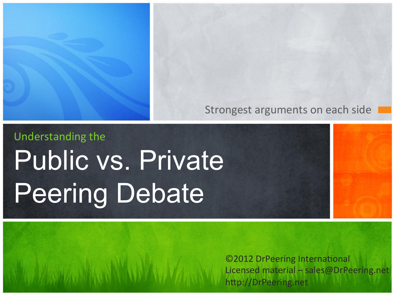### Strongest arguments on each side I

# Understanding the Public vs. Private Peering Debate

©2012 DrPeering International Licensed material – sales@DrPeering.net http://DrPeering.net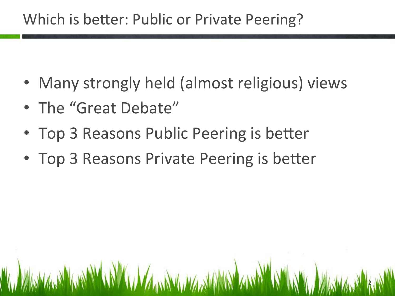## Which is better: Public or Private Peering?

• Many strongly held (almost religious) views

2 

- The "Great Debate"
- Top 3 Reasons Public Peering is better
- Top 3 Reasons Private Peering is better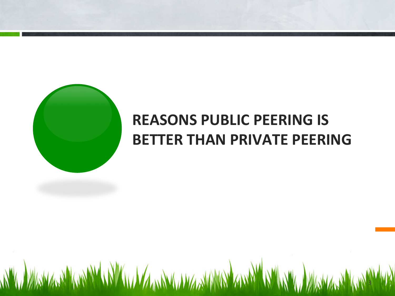

## **REASONS PUBLIC PEERING IS BETTER THAN PRIVATE PEERING**

**WWW. WARMARY WWW. WWW. WARMARY AWAY WWW. WARMARY WAS**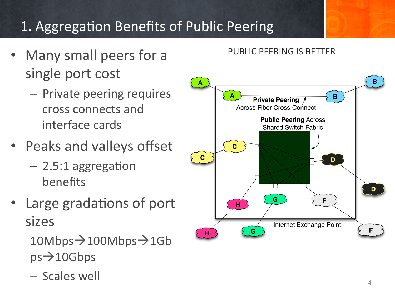## 1. Aggregation Benefits of Public Peering

- Many small peers for a single port cost
	- Private peering requires cross connects and interface cards
- Peaks and valleys offset
	- $-$  2.5:1 aggregation benefits
- Large gradations of port sizes

 $10$ Mbps $\rightarrow$ 100Mbps $\rightarrow$ 1Gb  $ps \rightarrow 10Gbps$ 

– Scales well 

### PUBLIC PEERING IS BETTER

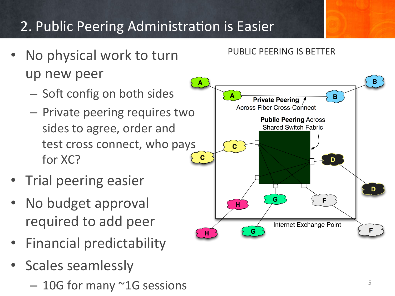## 2. Public Peering Administration is Easier

- No physical work to turn up new peer
	- Soft config on both sides
	- $-$  Private peering requires two sides to agree, order and test cross connect, who pays for XC?
- **Trial peering easier**
- No budget approval required to add peer
- **Financial predictability**
- Scales seamlessly
	- $-10G$  for many  $^{\sim}1G$  sessions  $\overline{5}$

### PUBLIC PEERING IS BETTER

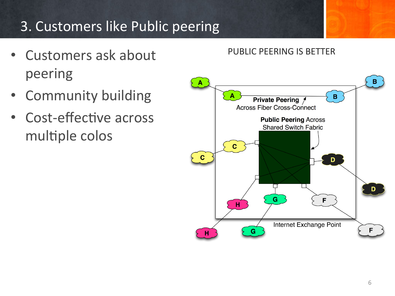## 3. Customers like Public peering

- Customers ask about peering
- Community building
- Cost-effective across multiple colos

### PUBLIC PEERING IS BETTER

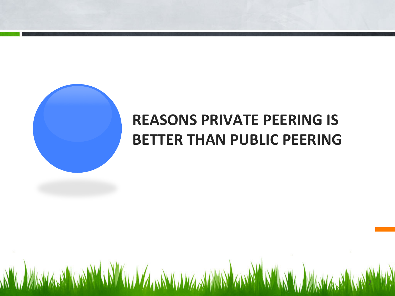

## **REASONS PRIVATE PEERING IS BETTER THAN PUBLIC PEERING**

AW WASHASHARING AWAN AMA AWA ANG AND ANG ANG A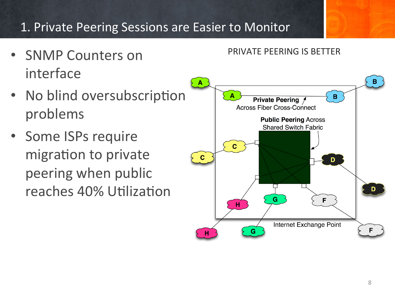### 1. Private Peering Sessions are Easier to Monitor

- SNMP Counters on interface
- No blind oversubscription problems
- Some ISPs require migration to private peering when public reaches 40% Utilization

### PRIVATE PEERING IS BETTER

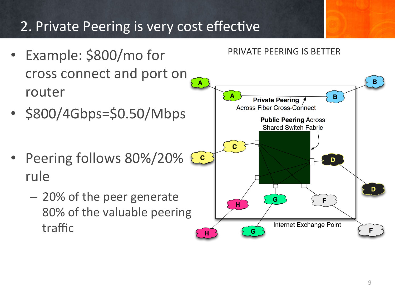## 2. Private Peering is very cost effective

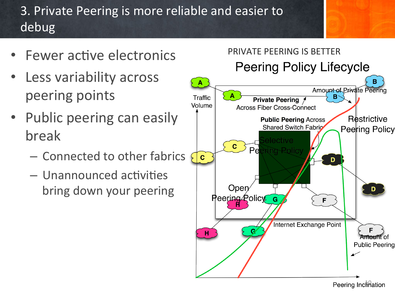## 3. Private Peering is more reliable and easier to debug

- **Fewer active electronics**
- Less variability across peering points
- Public peering can easily break
	- Connected to other fabrics
	- $-$  Unannounced activities bring down your peering



**Peering Inclifiation**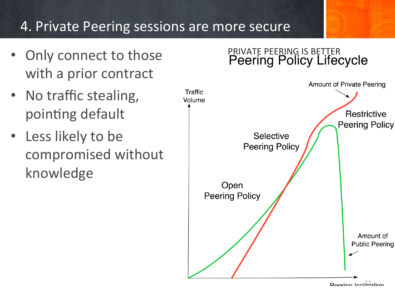### 4. Private Peering sessions are more secure

- Only connect to those with a prior contract
- No traffic stealing, pointing default
- Less likely to be compromised without knowledge

# PRIVATE PEERING IS BETTER<br>Peering Policy Lifecycle